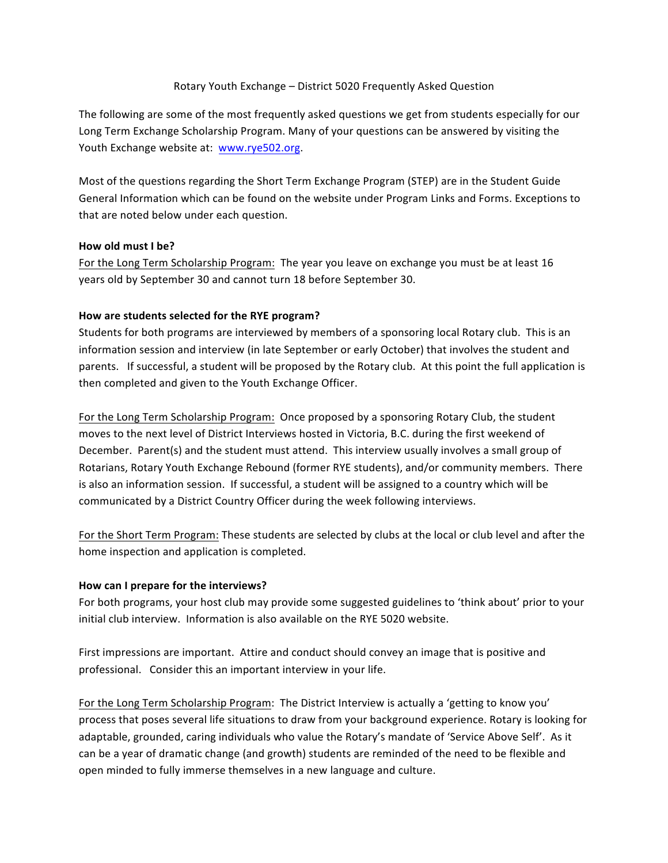#### Rotary Youth Exchange – District 5020 Frequently Asked Question

The following are some of the most frequently asked questions we get from students especially for our Long Term Exchange Scholarship Program. Many of your questions can be answered by visiting the Youth Exchange website at: www.rye502.org.

Most of the questions regarding the Short Term Exchange Program (STEP) are in the Student Guide General Information which can be found on the website under Program Links and Forms. Exceptions to that are noted below under each question.

#### **How old must I be?**

For the Long Term Scholarship Program: The year you leave on exchange you must be at least 16 years old by September 30 and cannot turn 18 before September 30.

# How are students selected for the RYE program?

Students for both programs are interviewed by members of a sponsoring local Rotary club. This is an information session and interview (in late September or early October) that involves the student and parents. If successful, a student will be proposed by the Rotary club. At this point the full application is then completed and given to the Youth Exchange Officer.

For the Long Term Scholarship Program: Once proposed by a sponsoring Rotary Club, the student moves to the next level of District Interviews hosted in Victoria, B.C. during the first weekend of December. Parent(s) and the student must attend. This interview usually involves a small group of Rotarians, Rotary Youth Exchange Rebound (former RYE students), and/or community members. There is also an information session. If successful, a student will be assigned to a country which will be communicated by a District Country Officer during the week following interviews.

For the Short Term Program: These students are selected by clubs at the local or club level and after the home inspection and application is completed.

# How can I prepare for the interviews?

For both programs, your host club may provide some suggested guidelines to 'think about' prior to your initial club interview. Information is also available on the RYE 5020 website.

First impressions are important. Attire and conduct should convey an image that is positive and professional. Consider this an important interview in your life.

For the Long Term Scholarship Program: The District Interview is actually a 'getting to know you' process that poses several life situations to draw from your background experience. Rotary is looking for adaptable, grounded, caring individuals who value the Rotary's mandate of 'Service Above Self'. As it can be a year of dramatic change (and growth) students are reminded of the need to be flexible and open minded to fully immerse themselves in a new language and culture.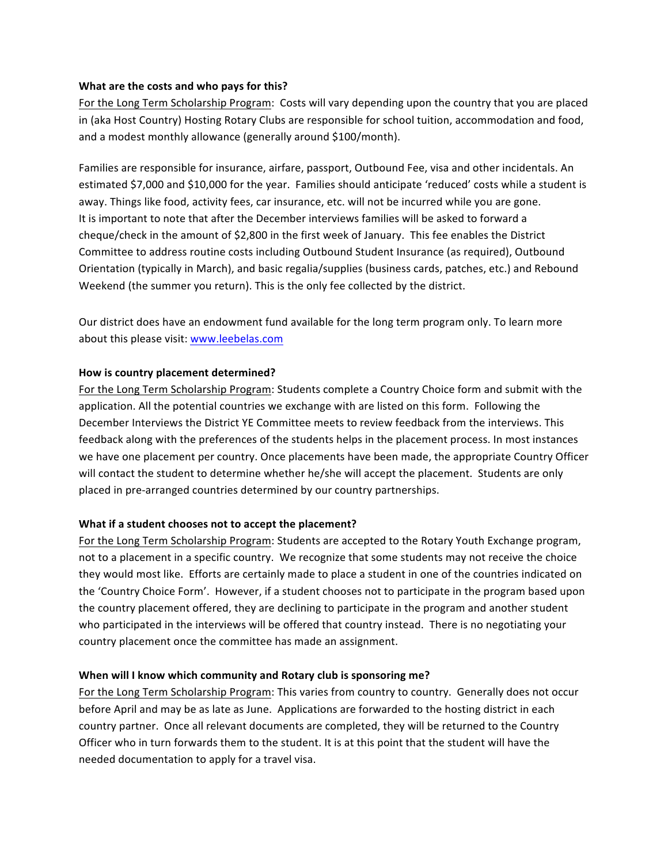#### **What are the costs and who pays for this?**

For the Long Term Scholarship Program: Costs will vary depending upon the country that you are placed in (aka Host Country) Hosting Rotary Clubs are responsible for school tuition, accommodation and food, and a modest monthly allowance (generally around \$100/month).

Families are responsible for insurance, airfare, passport, Outbound Fee, visa and other incidentals. An estimated \$7,000 and \$10,000 for the year. Families should anticipate 'reduced' costs while a student is away. Things like food, activity fees, car insurance, etc. will not be incurred while you are gone. It is important to note that after the December interviews families will be asked to forward a cheque/check in the amount of \$2,800 in the first week of January. This fee enables the District Committee to address routine costs including Outbound Student Insurance (as required), Outbound Orientation (typically in March), and basic regalia/supplies (business cards, patches, etc.) and Rebound Weekend (the summer you return). This is the only fee collected by the district.

Our district does have an endowment fund available for the long term program only. To learn more about this please visit: www.leebelas.com

# How is country placement determined?

For the Long Term Scholarship Program: Students complete a Country Choice form and submit with the application. All the potential countries we exchange with are listed on this form. Following the December Interviews the District YE Committee meets to review feedback from the interviews. This feedback along with the preferences of the students helps in the placement process. In most instances we have one placement per country. Once placements have been made, the appropriate Country Officer will contact the student to determine whether he/she will accept the placement. Students are only placed in pre-arranged countries determined by our country partnerships.

# **What if a student chooses not to accept the placement?**

For the Long Term Scholarship Program: Students are accepted to the Rotary Youth Exchange program, not to a placement in a specific country. We recognize that some students may not receive the choice they would most like. Efforts are certainly made to place a student in one of the countries indicated on the 'Country Choice Form'. However, if a student chooses not to participate in the program based upon the country placement offered, they are declining to participate in the program and another student who participated in the interviews will be offered that country instead. There is no negotiating your country placement once the committee has made an assignment.

#### When will I know which community and Rotary club is sponsoring me?

For the Long Term Scholarship Program: This varies from country to country. Generally does not occur before April and may be as late as June. Applications are forwarded to the hosting district in each country partner. Once all relevant documents are completed, they will be returned to the Country Officer who in turn forwards them to the student. It is at this point that the student will have the needed documentation to apply for a travel visa.